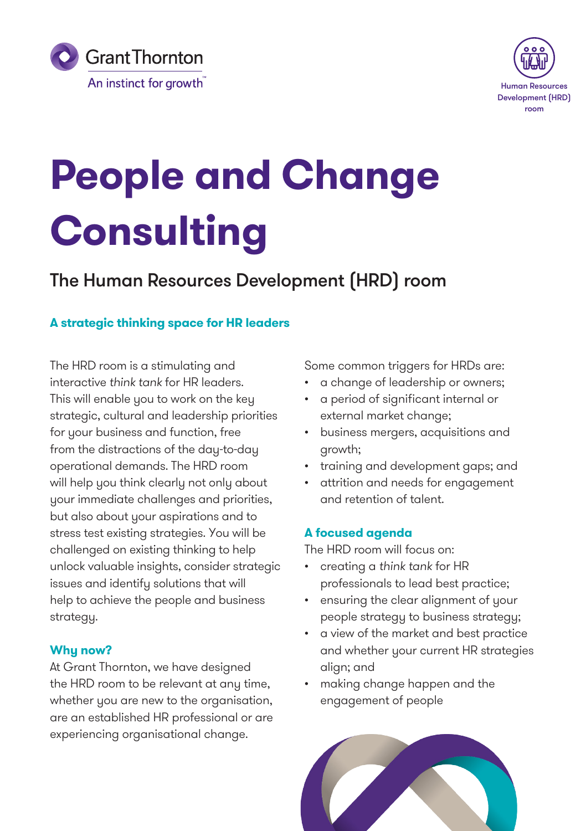



# **People and Change Consulting**

# The Human Resources Development (HRD) room

#### **A strategic thinking space for HR leaders**

The HRD room is a stimulating and interactive *think tank* for HR leaders. This will enable you to work on the key strategic, cultural and leadership priorities for your business and function, free from the distractions of the day-to-day operational demands. The HRD room will help you think clearly not only about your immediate challenges and priorities, but also about your aspirations and to stress test existing strategies. You will be challenged on existing thinking to help unlock valuable insights, consider strategic issues and identify solutions that will help to achieve the people and business strategy.

#### **Why now?**

At Grant Thornton, we have designed the HRD room to be relevant at any time, whether you are new to the organisation, are an established HR professional or are experiencing organisational change.

Some common triggers for HRDs are:

- a change of leadership or owners;
- a period of significant internal or external market change;
- business mergers, acquisitions and growth;
- training and development gaps; and
- attrition and needs for engagement and retention of talent.

#### **A focused agenda**

The HRD room will focus on:

- creating a *think tank* for HR professionals to lead best practice;
- ensuring the clear alignment of your people strategy to business strategy;
- a view of the market and best practice and whether your current HR strategies align; and
- making change happen and the engagement of people